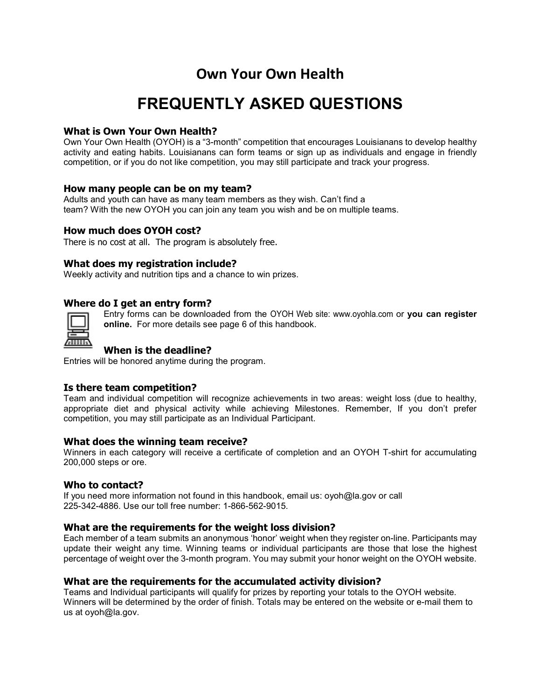# Own Your Own Health

# FREQUENTLY ASKED QUESTIONS

# What is Own Your Own Health?

Own Your Own Health (OYOH) is a "3-month" competition that encourages Louisianans to develop healthy activity and eating habits. Louisianans can form teams or sign up as individuals and engage in friendly competition, or if you do not like competition, you may still participate and track your progress.

### How many people can be on my team?

Adults and youth can have as many team members as they wish. Can't find a team? With the new OYOH you can join any team you wish and be on multiple teams.

# How much does OYOH cost?

There is no cost at all. The program is absolutely free.

#### What does my registration include?

Weekly activity and nutrition tips and a chance to win prizes.

### Where do I get an entry form?



Entry forms can be downloaded from the OYOH Web site: www.oyohla.com or you can register online. For more details see page 6 of this handbook.

# When is the deadline?

Entries will be honored anytime during the program.

### Is there team competition?

Team and individual competition will recognize achievements in two areas: weight loss (due to healthy, appropriate diet and physical activity while achieving Milestones. Remember, If you don't prefer competition, you may still participate as an Individual Participant.

#### What does the winning team receive?

Winners in each category will receive a certificate of completion and an OYOH T-shirt for accumulating 200,000 steps or ore.

#### Who to contact?

If you need more information not found in this handbook, email us: oyoh@la.gov or call 225-342-4886. Use our toll free number: 1-866-562-9015.

### What are the requirements for the weight loss division?

Each member of a team submits an anonymous 'honor' weight when they register on-line. Participants may update their weight any time. Winning teams or individual participants are those that lose the highest percentage of weight over the 3-month program. You may submit your honor weight on the OYOH website.

#### What are the requirements for the accumulated activity division?

Teams and Individual participants will qualify for prizes by reporting your totals to the OYOH website. Winners will be determined by the order of finish. Totals may be entered on the website or e-mail them to us at oyoh@la.gov.